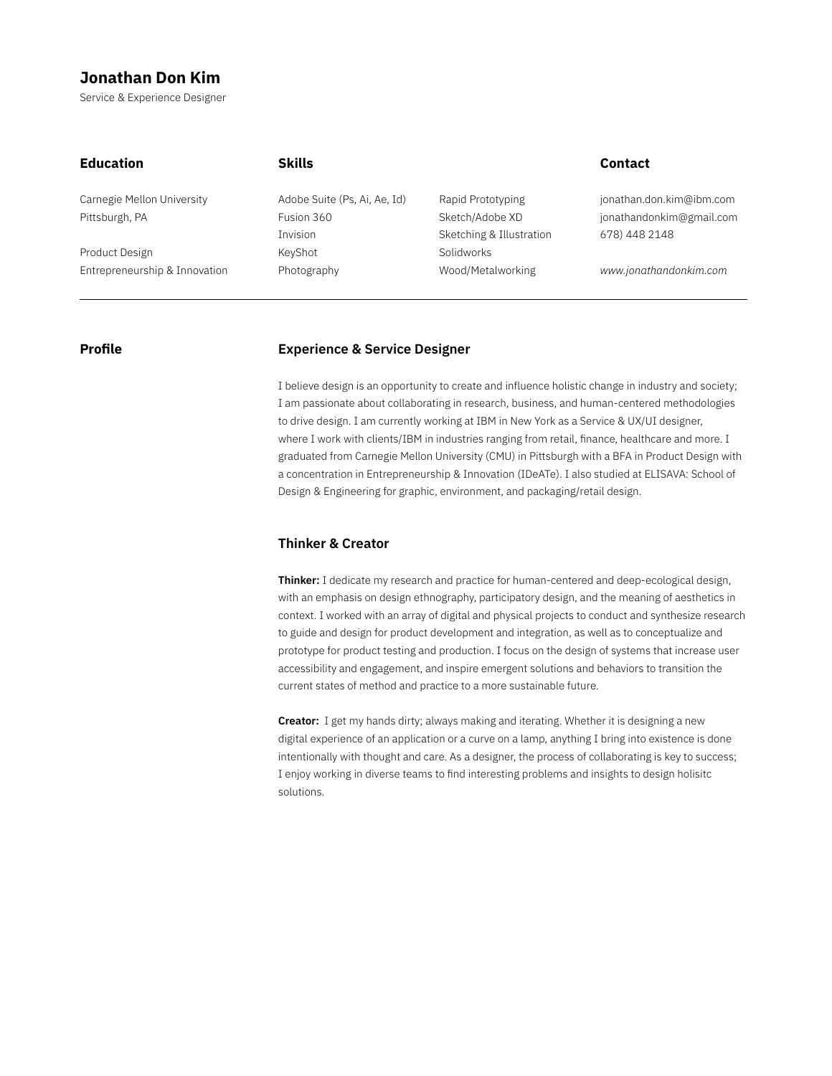# **Jonathan Don Kim**

Service & Experience Designer

| <b>Education</b>              | <b>Skills</b>                |                          | <b>Contact</b>           |
|-------------------------------|------------------------------|--------------------------|--------------------------|
| Carnegie Mellon University    | Adobe Suite (Ps, Ai, Ae, Id) | Rapid Prototyping        | jonathan.don.kim@ibm.com |
| Pittsburgh, PA                | Fusion 360                   | Sketch/Adobe XD          | jonathandonkim@gmail.com |
|                               | <b>Invision</b>              | Sketching & Illustration | 678) 448 2148            |
| Product Design                | KeyShot                      | Solidworks               |                          |
| Entrepreneurship & Innovation | Photography                  | Wood/Metalworking        | www.jonathandonkim.com   |

### **Profile**

## **Experience & Service Designer**

I believe design is an opportunity to create and influence holistic change in industry and society; I am passionate about collaborating in research, business, and human-centered methodologies to drive design. I am currently working at IBM in New York as a Service & UX/UI designer, where I work with clients/IBM in industries ranging from retail, finance, healthcare and more. I graduated from Carnegie Mellon University (CMU) in Pittsburgh with a BFA in Product Design with a concentration in Entrepreneurship & Innovation (IDeATe). I also studied at ELISAVA: School of Design & Engineering for graphic, environment, and packaging/retail design.

## **Thinker & Creator**

**Thinker:** I dedicate my research and practice for human-centered and deep-ecological design, with an emphasis on design ethnography, participatory design, and the meaning of aesthetics in context. I worked with an array of digital and physical projects to conduct and synthesize research to guide and design for product development and integration, as well as to conceptualize and prototype for product testing and production. I focus on the design of systems that increase user accessibility and engagement, and inspire emergent solutions and behaviors to transition the current states of method and practice to a more sustainable future.

**Creator:** I get my hands dirty; always making and iterating. Whether it is designing a new digital experience of an application or a curve on a lamp, anything I bring into existence is done intentionally with thought and care. As a designer, the process of collaborating is key to success; I enjoy working in diverse teams to find interesting problems and insights to design holisitc solutions.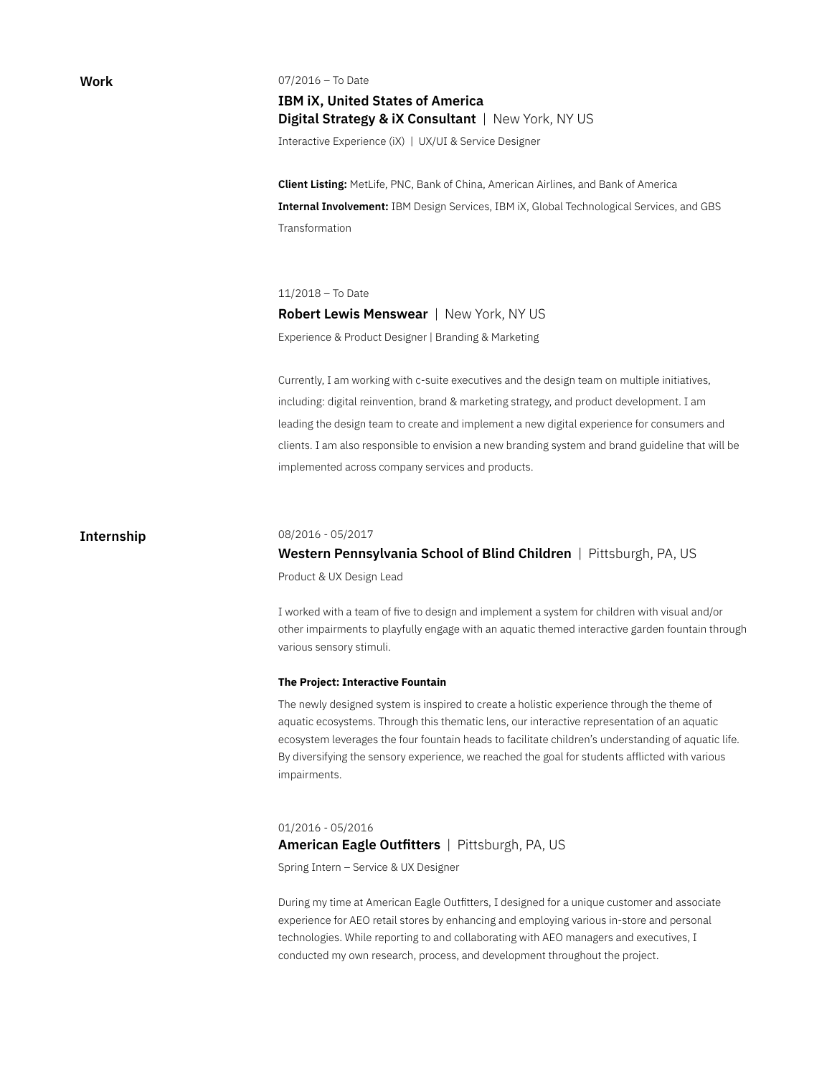**Work**

07/2016 – To Date

**IBM iX, United States of America Digital Strategy & iX Consultant** | New York, NY US

Interactive Experience (iX) | UX/UI & Service Designer

**Client Listing:** MetLife, PNC, Bank of China, American Airlines, and Bank of America **Internal Involvement:** IBM Design Services, IBM iX, Global Technological Services, and GBS Transformation

11/2018 – To Date

**Robert Lewis Menswear** | New York, NY US Experience & Product Designer | Branding & Marketing

Currently, I am working with c-suite executives and the design team on multiple initiatives, including: digital reinvention, brand & marketing strategy, and product development. I am leading the design team to create and implement a new digital experience for consumers and clients. I am also responsible to envision a new branding system and brand guideline that will be implemented across company services and products.

## **Internship**

#### 08/2016 - 05/2017

# **Western Pennsylvania School of Blind Children** | Pittsburgh, PA, US Product & UX Design Lead

I worked with a team of five to design and implement a system for children with visual and/or other impairments to playfully engage with an aquatic themed interactive garden fountain through various sensory stimuli.

#### **The Project: Interactive Fountain**

The newly designed system is inspired to create a holistic experience through the theme of aquatic ecosystems. Through this thematic lens, our interactive representation of an aquatic ecosystem leverages the four fountain heads to facilitate children's understanding of aquatic life. By diversifying the sensory experience, we reached the goal for students afflicted with various impairments.

#### 01/2016 - 05/2016

## **American Eagle Outfitters** | Pittsburgh, PA, US

Spring Intern – Service & UX Designer

During my time at American Eagle Outfitters, I designed for a unique customer and associate experience for AEO retail stores by enhancing and employing various in-store and personal technologies. While reporting to and collaborating with AEO managers and executives, I conducted my own research, process, and development throughout the project.